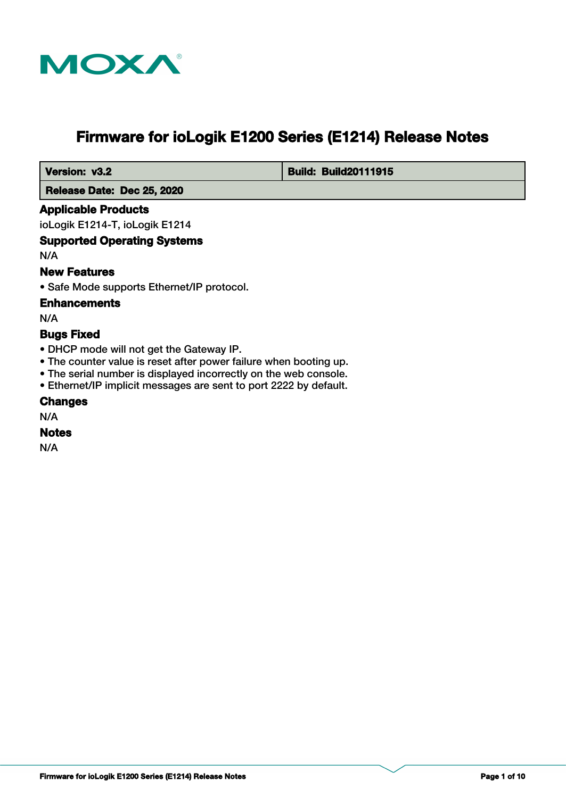

# **Firmware for ioLogik E1200 Series (E1214) Release Notes**

 **Version: v3.2 Build: Build: Build20111915** 

 **Release Date: Dec 25, 2020**

## **Applicable Products**

ioLogik E1214-T, ioLogik E1214

## **Supported Operating Systems**

N/A

## **New Features**

• Safe Mode supports Ethernet/IP protocol.

### **Enhancements**

N/A

## **Bugs Fixed**

- DHCP mode will not get the Gateway IP.
- The counter value is reset after power failure when booting up.
- The serial number is displayed incorrectly on the web console.
- Ethernet/IP implicit messages are sent to port 2222 by default.

## **Changes**

N/A

#### **Notes**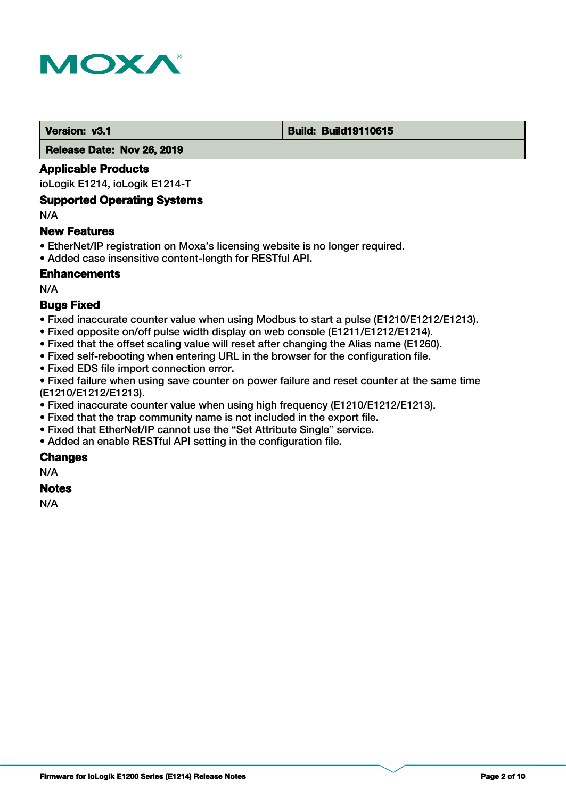

#### **Version: v3.1 Build: Build: Build19110615**

 **Release Date: Nov 26, 2019**

## **Applicable Products**

ioLogik E1214, ioLogik E1214-T

## **Supported Operating Systems**

N/A

### **New Features**

- EtherNet/IP registration on Moxa's licensing website is no longer required.
- Added case insensitive content-length for RESTful API.

## **Enhancements**

N/A

## **Bugs Fixed**

- Fixed inaccurate counter value when using Modbus to start a pulse (E1210/E1212/E1213).
- Fixed opposite on/off pulse width display on web console (E1211/E1212/E1214).
- Fixed that the offset scaling value will reset after changing the Alias name (E1260).
- Fixed self-rebooting when entering URL in the browser for the configuration file.
- Fixed EDS file import connection error.

• Fixed failure when using save counter on power failure and reset counter at the same time (E1210/E1212/E1213).

- Fixed inaccurate counter value when using high frequency (E1210/E1212/E1213).
- Fixed that the trap community name is not included in the export file.
- Fixed that EtherNet/IP cannot use the "Set Attribute Single" service.
- Added an enable RESTful API setting in the configuration file.

## **Changes**

N/A

# **Notes**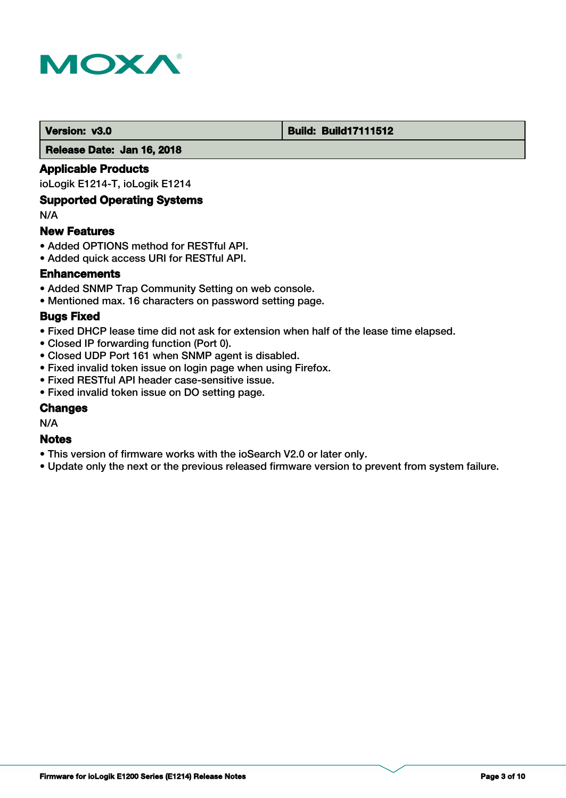

### **Version: v3.0 Build: Build: Build17111512**

 **Release Date: Jan 16, 2018**

## **Applicable Products**

ioLogik E1214-T, ioLogik E1214

## **Supported Operating Systems**

N/A

### **New Features**

- Added OPTIONS method for RESTful API.
- Added quick access URI for RESTful API.

## **Enhancements**

- Added SNMP Trap Community Setting on web console.
- Mentioned max. 16 characters on password setting page.

### **Bugs Fixed**

- Fixed DHCP lease time did not ask for extension when half of the lease time elapsed.
- Closed IP forwarding function (Port 0).
- Closed UDP Port 161 when SNMP agent is disabled.
- Fixed invalid token issue on login page when using Firefox.
- Fixed RESTful API header case-sensitive issue.
- Fixed invalid token issue on DO setting page.

## **Changes**

N/A

### **Notes**

- This version of firmware works with the ioSearch V2.0 or later only.
- Update only the next or the previous released firmware version to prevent from system failure.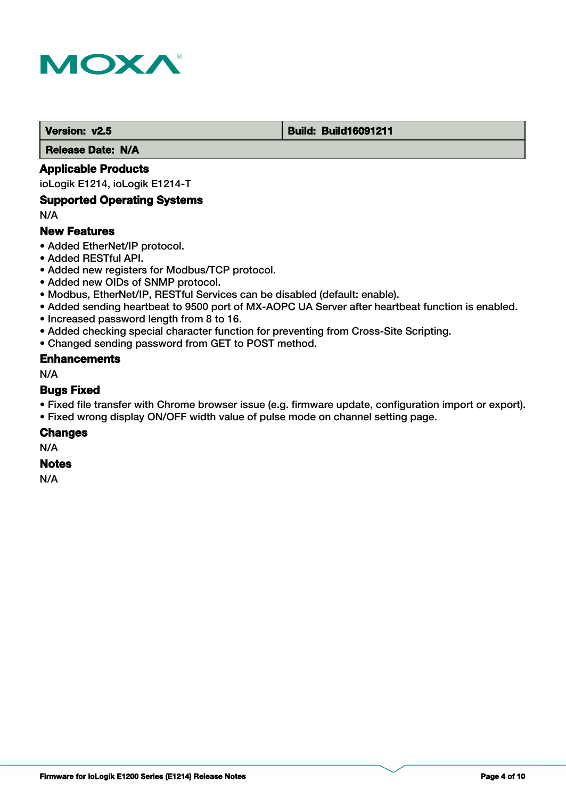

#### **Version: v2.5 Build: Build: Build16091211**

 **Release Date: N/A**

## **Applicable Products**

ioLogik E1214, ioLogik E1214-T

## **Supported Operating Systems**

N/A

## **New Features**

- Added EtherNet/IP protocol.
- Added RESTful API.
- Added new registers for Modbus/TCP protocol.
- Added new OIDs of SNMP protocol.
- Modbus, EtherNet/IP, RESTful Services can be disabled (default: enable).
- Added sending heartbeat to 9500 port of MX-AOPC UA Server after heartbeat function is enabled.
- Increased password length from 8 to 16.
- Added checking special character function for preventing from Cross-Site Scripting.
- Changed sending password from GET to POST method.

### **Enhancements**

N/A

### **Bugs Fixed**

- Fixed file transfer with Chrome browser issue (e.g. firmware update, configuration import or export).
- Fixed wrong display ON/OFF width value of pulse mode on channel setting page.

### **Changes**

N/A

#### **Notes**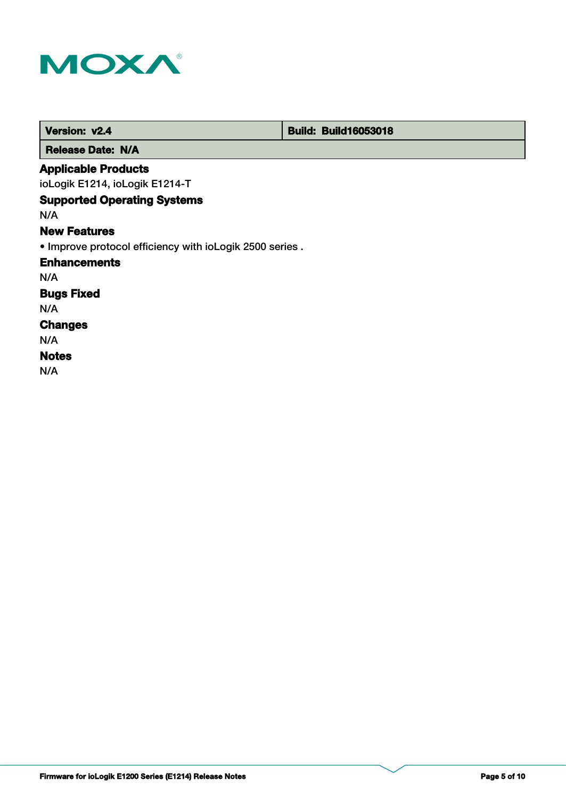

| Version: v2.4                                            | <b>Build: Build16053018</b> |
|----------------------------------------------------------|-----------------------------|
| <b>Release Date: N/A</b>                                 |                             |
| <b>Applicable Products</b>                               |                             |
| ioLogik E1214, ioLogik E1214-T                           |                             |
| <b>Supported Operating Systems</b>                       |                             |
| N/A                                                      |                             |
| <b>New Features</b>                                      |                             |
| . Improve protocol efficiency with ioLogik 2500 series . |                             |
| <b>Enhancements</b>                                      |                             |
| N/A                                                      |                             |
| <b>Bugs Fixed</b>                                        |                             |
| N/A                                                      |                             |
| <b>Changes</b>                                           |                             |
| N/A                                                      |                             |
| <b>Notes</b>                                             |                             |
| N/A                                                      |                             |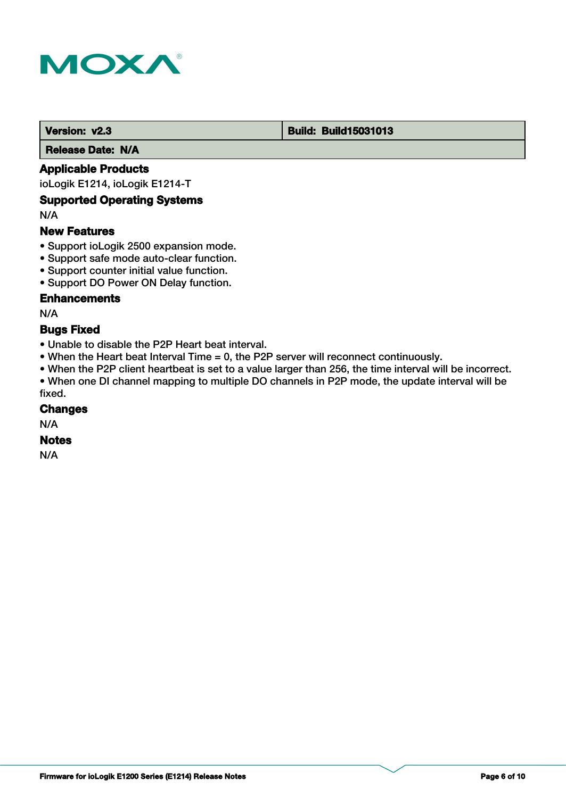

#### **Version: v2.3 Build: Build: Build15031013**

 **Release Date: N/A**

## **Applicable Products**

ioLogik E1214, ioLogik E1214-T

## **Supported Operating Systems**

N/A

## **New Features**

- Support ioLogik 2500 expansion mode.
- Support safe mode auto-clear function.
- Support counter initial value function.
- Support DO Power ON Delay function.

## **Enhancements**

N/A

#### **Bugs Fixed**

- Unable to disable the P2P Heart beat interval.
- When the Heart beat Interval Time = 0, the P2P server will reconnect continuously.
- When the P2P client heartbeat is set to a value larger than 256, the time interval will be incorrect.

• When one DI channel mapping to multiple DO channels in P2P mode, the update interval will be fixed.

### **Changes**

N/A

## **Notes**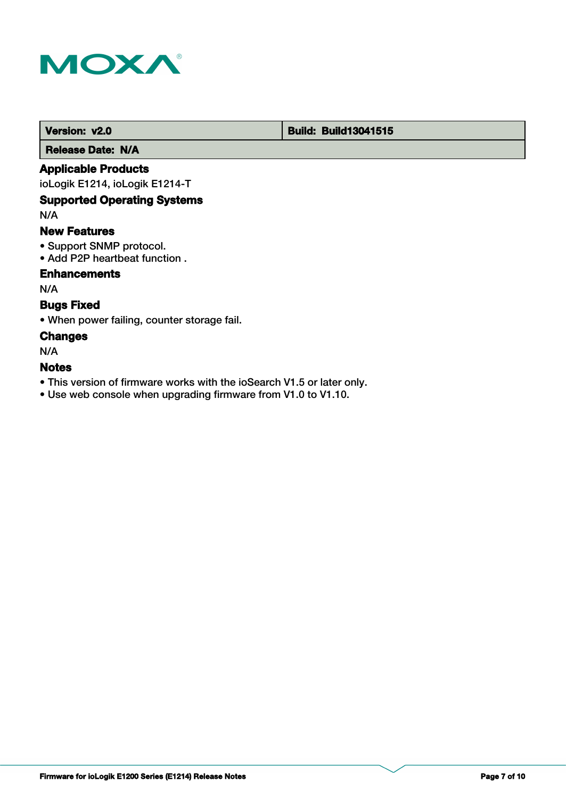

# **Version: v2.0 Build: Build13041515**

 **Release Date: N/A**

## **Applicable Products**

ioLogik E1214, ioLogik E1214-T

# **Supported Operating Systems**

N/A

### **New Features**

- Support SNMP protocol.
- Add P2P heartbeat function .

## **Enhancements**

N/A

# **Bugs Fixed**

• When power failing, counter storage fail.

### **Changes**

N/A

# **Notes**

- This version of firmware works with the ioSearch V1.5 or later only.
- Use web console when upgrading firmware from V1.0 to V1.10.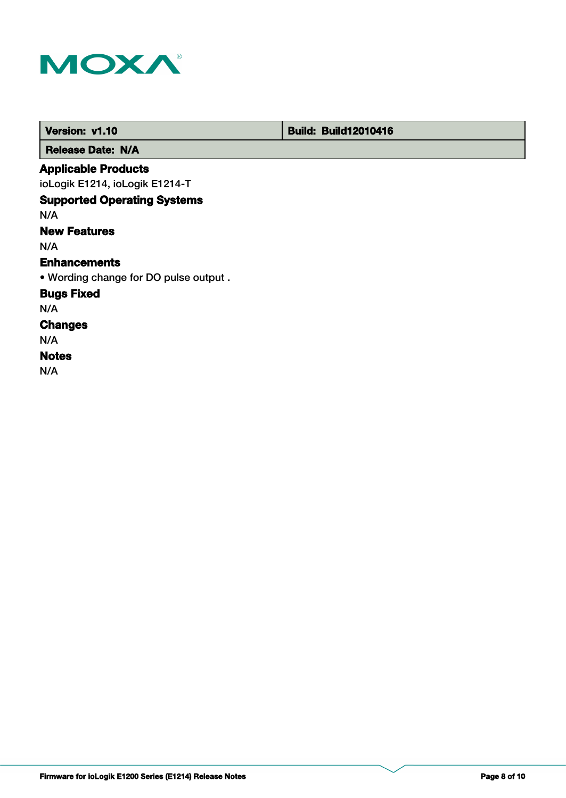

| Version: v1.10                        | <b>Build: Build12010416</b> |
|---------------------------------------|-----------------------------|
| <b>Release Date: N/A</b>              |                             |
| <b>Applicable Products</b>            |                             |
| ioLogik E1214, ioLogik E1214-T        |                             |
| <b>Supported Operating Systems</b>    |                             |
| N/A                                   |                             |
| <b>New Features</b>                   |                             |
| N/A                                   |                             |
| <b>Enhancements</b>                   |                             |
| . Wording change for DO pulse output. |                             |
| <b>Bugs Fixed</b>                     |                             |
| N/A                                   |                             |
| <b>Changes</b>                        |                             |
| N/A                                   |                             |
| <b>Notes</b>                          |                             |
| N/A                                   |                             |

**Firmware for ioLogik E1200 Series (E1214) Release Notes Page 8 of 10**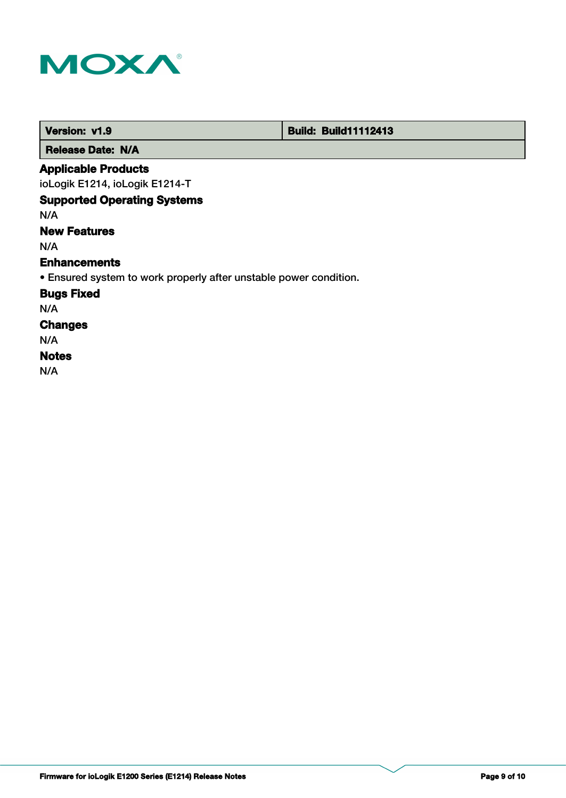

| Version: v1.9                                                     | <b>Build: Build11112413</b> |
|-------------------------------------------------------------------|-----------------------------|
| <b>Release Date: N/A</b>                                          |                             |
| <b>Applicable Products</b>                                        |                             |
| ioLogik E1214, ioLogik E1214-T                                    |                             |
| <b>Supported Operating Systems</b>                                |                             |
| N/A                                                               |                             |
| <b>New Features</b>                                               |                             |
| N/A                                                               |                             |
| <b>Enhancements</b>                                               |                             |
| • Ensured system to work properly after unstable power condition. |                             |
| <b>Bugs Fixed</b>                                                 |                             |
| N/A                                                               |                             |
| <b>Changes</b>                                                    |                             |
| N/A                                                               |                             |
| <b>Notes</b>                                                      |                             |
| N/A                                                               |                             |